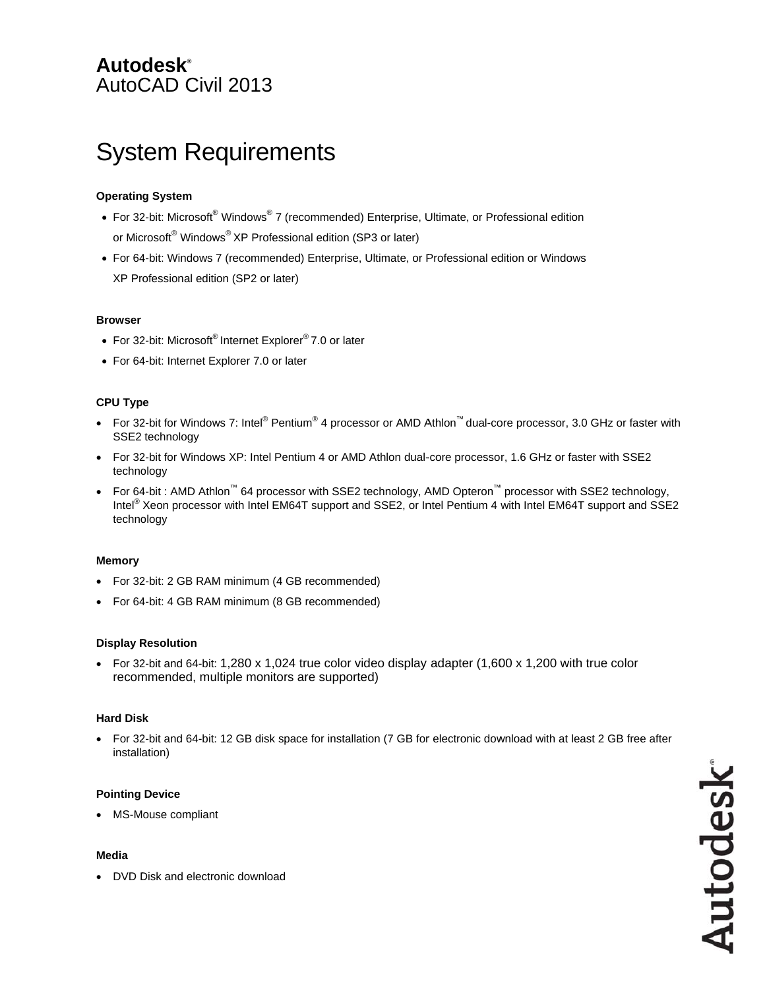# **Autodesk®** AutoCAD Civil 2013

# **System Requirements**

# **Operating System**

- For 32-bit: Microsoft® Windows® 7 (recommended) Enterprise, Ultimate, or Professional edition or Microsoft<sup>®</sup> Windows<sup>®</sup> XP Professional edition (SP3 or later)
- For 64-bit: Windows 7 (recommended) Enterprise, Ultimate, or Professional edition or Windows XP Professional edition (SP2 or later)

#### **Browser**

- For 32-bit: Microsoft® Internet Explorer® 7.0 or later
- For 64-bit: Internet Explorer 7.0 or later

# **CPU Type**

- For 32-bit for Windows 7: Intel® Pentium® 4 processor or AMD Athlon™ dual-core processor, 3.0 GHz or faster with SSE2 technology
- For 32-bit for Windows XP: Intel Pentium 4 or AMD Athlon dual-core processor, 1.6 GHz or faster with SSE2 technology
- For 64-bit : AMD Athlon™ 64 processor with SSE2 technology, AMD Opteron™ processor with SSE2 technology, Intel® Xeon processor with Intel EM64T support and SSE2, or Intel Pentium 4 with Intel EM64T support and SSE2 technology

# **Memory**

- For 32-bit: 2 GB RAM minimum (4 GB recommended)
- For 64-bit: 4 GB RAM minimum (8 GB recommended)

# **Display Resolution**

• For 32-bit and 64-bit: 1,280 x 1,024 true color video display adapter  $(1,600 \times 1,200)$  with true color recommended, multiple monitors are supported)

# **Hard Disk**

 $\bullet$ For 32-bit and 64-bit: 12 GB disk space for installation (7 GB for electronic download with at least 2 GB free after installation)

# **Pointing Device**

• MS-Mouse compliant

#### **Media**

• DVD Disk and electronic download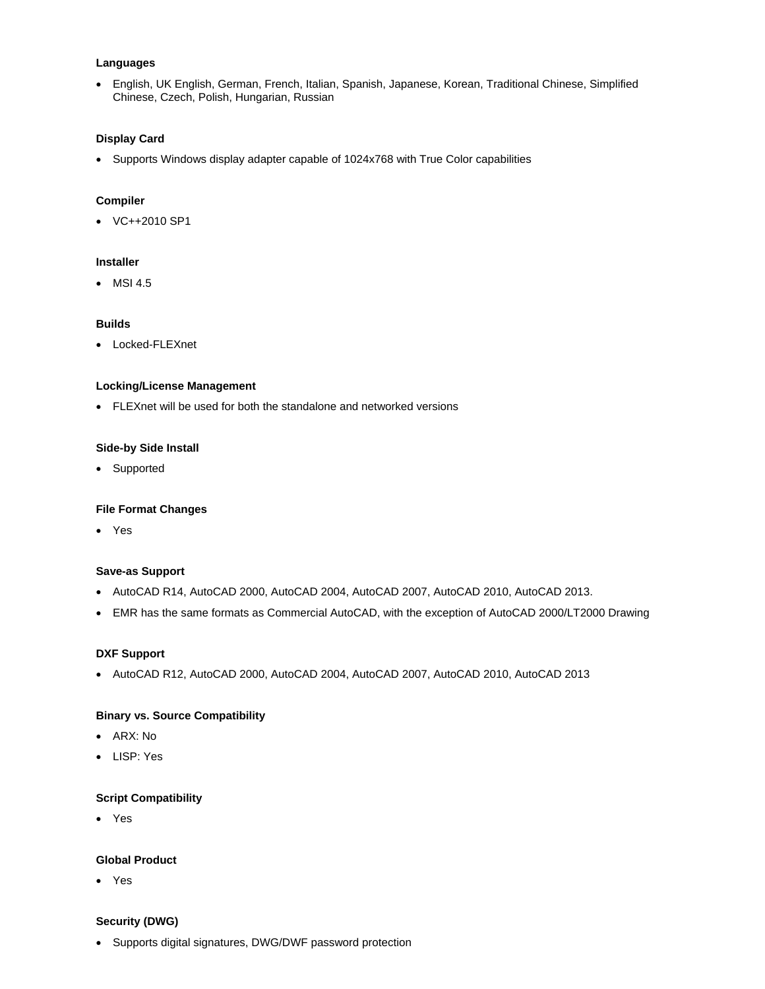#### **Languages**

 English, UK English, German, French, Italian, Spanish, Japanese, Korean, Traditional Chinese, Simplified Chinese, Czech, Polish, Hungarian, Russian

#### **Display Card**

Supports Windows display adapter capable of 1024x768 with True Color capabilities

#### **Compiler**

VC++2010 SP1

#### **Installer**

MSI 4.5

# **Builds**

Locked-FLEXnet

#### **Locking/License Management**

FLEXnet will be used for both the standalone and networked versions

#### **Side-by Side Install**

• Supported

# **File Format Changes**

Yes

# **Save-as Support**

- AutoCAD R14, AutoCAD 2000, AutoCAD 2004, AutoCAD 2007, AutoCAD 2010, AutoCAD 2013.
- EMR has the same formats as Commercial AutoCAD, with the exception of AutoCAD 2000/LT2000 Drawing

# **DXF Support**

AutoCAD R12, AutoCAD 2000, AutoCAD 2004, AutoCAD 2007, AutoCAD 2010, AutoCAD 2013

# **Binary vs. Source Compatibility**

- ARX: No
- LISP: Yes

#### **Script Compatibility**

Yes

#### **Global Product**

Yes

#### **Security (DWG)**

Supports digital signatures, DWG/DWF password protection